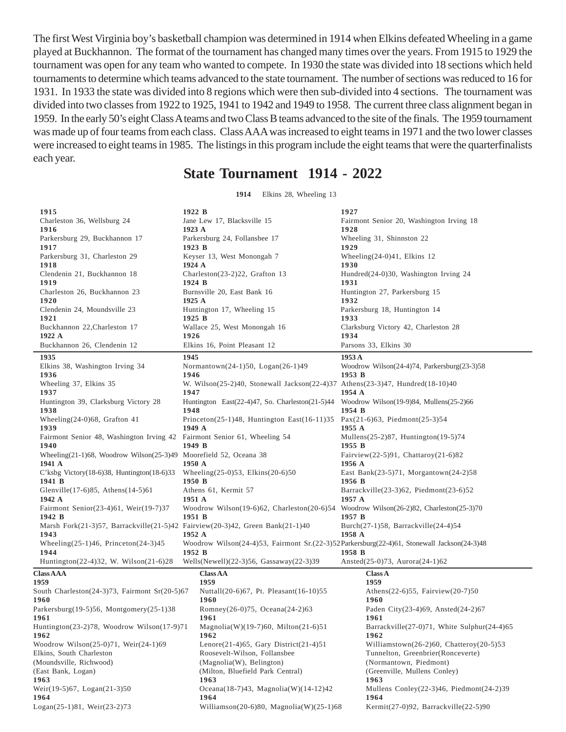The first West Virginia boy's basketball champion was determined in 1914 when Elkins defeated Wheeling in a game played at Buckhannon. The format of the tournament has changed many times over the years. From 1915 to 1929 the tournament was open for any team who wanted to compete. In 1930 the state was divided into 18 sections which held tournaments to determine which teams advanced to the state tournament. The number of sections was reduced to 16 for 1931. In 1933 the state was divided into 8 regions which were then sub-divided into 4 sections. The tournament was divided into two classes from 1922 to 1925, 1941 to 1942 and 1949 to 1958. The current three class alignment began in 1959. In the early 50's eight Class A teams and two Class B teams advanced to the site of the finals. The 1959 tournament was made up of four teams from each class. Class AAA was increased to eight teams in 1971 and the two lower classes were increased to eight teams in 1985. The listings in this program include the eight teams that were the quarterfinalists each year.

## **State Tournament 1914 - 2022**

**1914** Elkins 28, Wheeling 13

| 1915                                                                                        | 1922 B                                                                                          | 1927                                                   |
|---------------------------------------------------------------------------------------------|-------------------------------------------------------------------------------------------------|--------------------------------------------------------|
| Charleston 36, Wellsburg 24                                                                 | Jane Lew 17, Blacksville 15                                                                     | Fairmont Senior 20, Washington Irving 18               |
| 1916                                                                                        | 1923 A                                                                                          | 1928                                                   |
| Parkersburg 29, Buckhannon 17                                                               | Parkersburg 24, Follansbee 17                                                                   | Wheeling 31, Shinnston 22                              |
| 1917                                                                                        | 1923 B                                                                                          | 1929                                                   |
| Parkersburg 31, Charleston 29<br>1918                                                       | Keyser 13, West Monongah 7<br>1924 A                                                            | Wheeling $(24-0)41$ , Elkins 12<br>1930                |
| Clendenin 21, Buckhannon 18                                                                 | Charleston(23-2)22, Grafton 13                                                                  | Hundred(24-0)30, Washington Irving 24                  |
| 1919                                                                                        | 1924 B                                                                                          | 1931                                                   |
| Charleston 26, Buckhannon 23                                                                | Burnsville 20, East Bank 16                                                                     | Huntington 27, Parkersburg 15                          |
| 1920<br>Clendenin 24, Moundsville 23                                                        | 1925 A<br>Huntington 17, Wheeling 15                                                            | 1932<br>Parkersburg 18, Huntington 14                  |
| 1921                                                                                        | 1925 B                                                                                          | 1933                                                   |
| Buckhannon 22, Charleston 17                                                                | Wallace 25, West Monongah 16                                                                    | Clarksburg Victory 42, Charleston 28                   |
| 1922 A                                                                                      | 1926                                                                                            | 1934                                                   |
| Buckhannon 26, Clendenin 12                                                                 | Elkins 16, Point Pleasant 12                                                                    | Parsons 33, Elkins 30                                  |
| 1935                                                                                        | 1945                                                                                            | 1953A                                                  |
| Elkins 38, Washington Irving 34                                                             | Normantown $(24-1)50$ , Logan $(26-1)49$                                                        | Woodrow Wilson $(24-4)74$ , Parkersburg $(23-3)58$     |
| 1936                                                                                        | 1946                                                                                            | 1953 B                                                 |
| Wheeling 37, Elkins 35<br>1937                                                              | W. Wilson(25-2)40, Stonewall Jackson(22-4)37 Athens(23-3)47, Hundred(18-10)40<br>1947           | 1954 A                                                 |
| Huntington 39, Clarksburg Victory 28                                                        | Huntington East(22-4)47, So. Charleston(21-5)44 Woodrow Wilson(19-9)84, Mullens(25-2)66         |                                                        |
| 1938                                                                                        | 1948                                                                                            | 1954 B                                                 |
| Wheeling $(24-0)68$ , Grafton 41                                                            | Princeton(25-1)48, Huntington East(16-11)35 Pax(21-6)63, Piedmont(25-3)54                       |                                                        |
| 1939                                                                                        | 1949 A                                                                                          | 1955 A                                                 |
| Fairmont Senior 48, Washington Irving 42 Fairmont Senior 61, Wheeling 54<br>1940            | 1949 B                                                                                          | Mullens $(25-2)87$ , Huntington $(19-5)74$<br>1955 B   |
| Wheeling $(21-1)$ 68, Woodrow Wilson $(25-3)49$ Moorefield 52, Oceana 38                    |                                                                                                 | Fairview $(22-5)91$ , Chattaroy $(21-6)82$             |
| 1941 A                                                                                      | 1950 A                                                                                          | 1956 A                                                 |
| C'ksbg Victory $(18-6)38$ , Huntington $(18-6)33$<br>1941 B                                 | Wheeling $(25-0)53$ , Elkins $(20-6)50$<br>1950 B                                               | East Bank $(23-5)71$ , Morgantown $(24-2)58$<br>1956 B |
| Glenville $(17-6)85$ , Athens $(14-5)61$                                                    | Athens 61, Kermit 57                                                                            | Barrackville $(23-3)62$ , Piedmont $(23-6)52$          |
| 1942 A                                                                                      | 1951 A                                                                                          | 1957 A                                                 |
| Fairmont Senior(23-4)61, Weir(19-7)37<br>1942 B                                             | Woodrow Wilson(19-6)62, Charleston(20-6)54 Woodrow Wilson(26-2)82, Charleston(25-3)70<br>1951 B | 1957 B                                                 |
| Marsh Fork $(21-3)57$ , Barrackville $(21-5)42$ Fairview $(20-3)42$ , Green Bank $(21-1)40$ |                                                                                                 | Burch $(27-1)58$ , Barrackville $(24-4)54$             |
| 1943                                                                                        | 1952 A                                                                                          | 1958 A                                                 |
| Wheeling $(25-1)46$ , Princeton $(24-3)45$                                                  | Woodrow Wilson(24-4)53, Fairmont Sr.(22-3)52Parkersburg(22-4)61, Stonewall Jackson(24-3)48      |                                                        |
| 1944                                                                                        | 1952 B                                                                                          | 1958 B                                                 |
| Huntington $(22-4)32$ , W. Wilson $(21-6)28$                                                | Wells(Newell) $(22-3)56$ , Gassaway $(22-3)39$                                                  | Ansted $(25-0)73$ , Aurora $(24-1)62$                  |
| Class AAA                                                                                   | <b>Class AA</b>                                                                                 | <b>Class A</b>                                         |
| 1959<br>South Charleston(24-3)73, Fairmont Sr(20-5)67                                       | 1959<br>Nuttall(20-6)67, Pt. Pleasant(16-10)55                                                  | 1959<br>Athens(22-6)55, Fairview(20-7)50               |
| 1960                                                                                        | <b>1960</b>                                                                                     | 1960                                                   |
| $Parkersburg(19-5)56$ , Montgomery(25-1)38                                                  | Romney(26-0)75, Oceana(24-2)63                                                                  | Paden City(23-4)69, Ansted(24-2)67                     |
| 1961                                                                                        | 1961                                                                                            | 1961                                                   |
| Huntington(23-2)78, Woodrow Wilson(17-9)71                                                  | Magnolia(W)(19-7)60, Milton(21-6)51                                                             | Barrackville $(27-0)71$ , White Sulphur $(24-4)65$     |
| 1962                                                                                        | 1962                                                                                            | 1962                                                   |
| Woodrow Wilson(25-0)71, Weir(24-1)69                                                        | Lenore $(21-4)65$ , Gary District $(21-4)51$                                                    | Williamstown $(26-2)60$ , Chatteroy $(20-5)53$         |
| Elkins, South Charleston                                                                    | Roosevelt-Wilson, Follansbee                                                                    | Tunnelton, Greenbrier (Ronceverte)                     |
| (Moundsville, Richwood)<br>(East Bank, Logan)                                               | (Magnolia(W), Belington)<br>(Milton, Bluefield Park Central)                                    | (Normantown, Piedmont)<br>(Greenville, Mullens Conley) |
| 1963                                                                                        | 1963                                                                                            | 1963                                                   |
| Weir(19-5)67, Logan(21-3)50                                                                 | Oceana $(18-7)43$ , Magnolia $(W)(14-12)42$                                                     | Mullens Conley $(22-3)46$ , Piedmont $(24-2)39$        |
| 1964                                                                                        | 1964                                                                                            | 1964                                                   |
| Logan(25-1)81, Weir(23-2)73                                                                 | Williamson(20-6)80, Magnolia(W)(25-1)68                                                         | Kermit $(27-0)92$ , Barrackville $(22-5)90$            |
|                                                                                             |                                                                                                 |                                                        |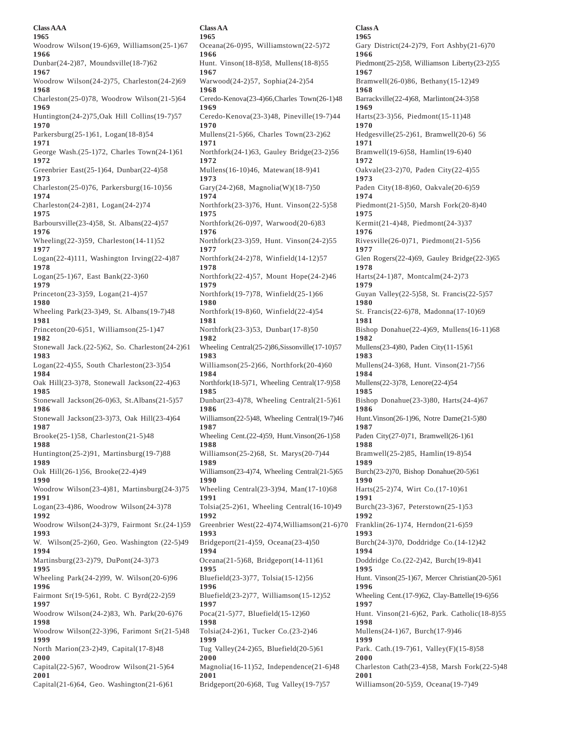**1965 1965 1965** Woodrow Wilson(19-6)69, Williamson(25-1)67 Oceana(26-0)95, Williamstown(22-5)72 Gary District(24-2)79, Fort Ashby(21-6)70 **1966 1966 1966** Dunbar(24-2)87, Moundsville(18-7)62 Hunt. Vinson(18-8)58, Mullens(18-8)55 Piedmont(25-2)58, Williamson Liberty(23-2)55 **1967 1967 1967** Woodrow Wilson(24-2)75, Charleston(24-2)69 Warwood(24-2)57, Sophia(24-2)54 Bramwell(26-0)86, Bethany(15-12)49<br>1968 1968 **1968 1968 1968** Charleston(25-0)78, Woodrow Wilson(21-5)64 Ceredo-Kenova(23-4)66,Charles Town(26-1)48 Barrackville(22-4)68, Marlinton(24-3)58<br>1969 1969 **1969 1969 1969** Huntington(24-2)75,Oak Hill Collins(19-7)57 Ceredo-Kenova(23-3)48, Pineville(19-7)44 Harts(23-3)56, Piedmont(15-11)48 **1970 1970 1970** Parkersburg(25-1)61, Logan(18-8)54 Mullens(21-5)66, Charles Town(23-2)62 Hedgesville(25-2)61, Bramwell(20-6) 56 **1971 1971 1971** George Wash.(25-1)72, Charles Town(24-1)61 Northfork(24-1)63, Gauley Bridge(23-2)56 Bramwell(19-6)58, Hamlin(19-6)40 **1972 1972 1972** Greenbrier East(25-1)64, Dunbar(22-4)58 Mullens(16-10)46, Matewan(18-9)41 Oakvale(23-2)70, Paden City(22-4)55 **1973 1973 1973** Charleston(25-0)76, Parkersburg(16-10)56 Gary(24-2)68, Magnolia(W)(18-7)50 Paden City(18-8)60, Oakvale(20-6)59 **1974 1974 1974** Charleston(24-2)81, Logan(24-2)74 Northfork(23-3)76, Hunt. Vinson(22-5)58 Piedmont(21-5)50, Marsh Fork(20-8)40 **1975 1975 1975** Barboursville(23-4)58, St. Albans(22-4)57 Northfork(26-0)97, Warwood(20-6)83 Kermit(21-4)48, Piedmont(24-3)37 **1976** 1976 **1976** 1976 Wheeling(22-3)59, Charleston(14-11)52 Northfork(23-3)59, Hunt. Vinson(24-2)55 Rivesville(26-0)71, Piedmont(21-5)56 **1977 1977 1977** Logan(22-4)111, Washington Irving(22-4)87 Northfork(24-2)78, Winfield(14-12)57 Glen Rogers(22-4)69, Gauley Bridge(22-3)65 **1978 1978 1978** Logan(25-1)67, East Bank(22-3)60 Northfork(22-4)57, Mount Hope(24-2)46 Harts(24-1)87, Montcalm(24-2)73 **1979 1979 1979** Princeton(23-3)59, Logan(21-4)57 Northfork(19-7)78, Winfield(25-1)66 Guyan Valley(22-5)58, St. Francis(22-5)57 **1980 1980 1980** Wheeling Park(23-3)49, St. Albans(19-7)48 Northfork(19-8)60, Winfield(22-4)54 St. Francis(22-6)78, Madonna(17-10)69 **1981 1981 1981** Princeton(20-6)51, Williamson(25-1)47 Northfork(23-3)53, Dunbar(17-8)50 Bishop Donahue(22-4)69, Mullens(16-11)68 **1982 1982 1982** Stonewall Jack.(22-5)62, So. Charleston(24-2)61 Wheeling Central(25-2)86,Sissonville(17-10)57 Mullens(23-4)80, Paden City(11-15)61 **1983 1983 1983** Logan(22-4)55, South Charleston(23-3)54 Williamson(25-2)66, Northfork(20-4)60 Mullens(24-3)68, Hunt. Vinson(21-7)56 **1984 1984 1984** Oak Hill(23-3)78, Stonewall Jackson(22-4)63 Northfork(18-5)71, Wheeling Central(17-9)58 Mullens(22-3)78, Lenore(22-4)54 **1985 1985 1985** Stonewall Jackson(26-0)63, St.Albans(21-5)57 Dunbar(23-4)78, Wheeling Central(21-5)61 Bishop Donahue(23-3)80, Harts(24-4)67 **1986 1986 1986** Stonewall Jackson(23-3)73, Oak Hill(23-4)64 Williamson(22-5)48, Wheeling Central(19-7)46 Hunt.Vinson(26-1)96, Notre Dame(21-5)80 **1987 1987 1987** Brooke(25-1)58, Charleston(21-5)48 Wheeling Cent.(22-4)59, Hunt.Vinson(26-1)58 Paden City(27-0)71, Bramwell(26-1)61 **1988 1988 1988** Huntington(25-2)91, Martinsburg(19-7)88 Williamson(25-2)68, St. Marys(20-7)44 Bramwell(25-2)85, Hamlin(19-8)54 **1989 1989 1989** Oak Hill(26-1)56, Brooke(22-4)49 Williamson(23-4)74, Wheeling Central(21-5)65 Burch(23-2)70, Bishop Donahue(20-5)61 **1990 1990 1990** Woodrow Wilson(23-4)81, Martinsburg(24-3)75 Wheeling Central(23-3)94, Man(17-10)68 Harts(25-2)74, Wirt Co.(17-10)61<br>1991 1991 **1991 1991 1991** Logan(23-4)86, Woodrow Wilson(24-3)78 Tolsia(25-2)61, Wheeling Central(16-10)49 Burch(23-3)67, Peterstown(25-1)53 **1992 1992 1992** Woodrow Wilson(24-3)79, Fairmont Sr.(24-1)59 Greenbrier West(22-4)74,Williamson(21-6)70 Franklin(26-1)74, Herndon(21-6)59 **1993 1993 1993** W. Wilson(25-2)60, Geo. Washington (22-5)49 Bridgeport(21-4)59, Oceana(23-4)50 Burch(24-3)70, Doddridge Co.(14-12)42 **1994 1994 1994** Martinsburg(23-2)79, DuPont(24-3)73 Oceana(21-5)68, Bridgeport(14-11)61 Doddridge Co.(22-2)42, Burch(19-8)41 **1995 1995 1995** Wheeling Park(24-2)99, W. Wilson(20-6)96 Bluefield(23-3)77, Tolsia(15-12)56 Hunt. Vinson(25-1)67, Mercer Christian(20-5)61 **1996 1996 1996** Fairmont Sr(19-5)61, Robt. C Byrd(22-2)59 Bluefield(23-2)77, Williamson(15-12)52 Wheeling Cent.(17-9)62, Clay-Battelle(19-6)56 **1997 1997 1997** Woodrow Wilson(24-2)83, Wh. Park(20-6)76 Poca(21-5)77, Bluefield(15-12)60 Hunt. Vinson(21-6)62, Park. Catholic(18-8)55 **1998 1998 1998** Woodrow Wilson(22-3)96, Farimont Sr(21-5)48 Tolsia(24-2)61, Tucker Co.(23-2)46 Mullens(24-1)67, Burch(17-9)46 **1999 1999 1999** North Marion(23-2)49, Capital(17-8)48 Tug Valley(24-2)65, Bluefield(20-5)61 Park. Cath.(19-7)61, Valley(F)(15-8)58 **2000 2000 2000 2001 2001 2001** Capital(21-6)64, Geo. Washington(21-6)61 Bridgeport(20-6)68, Tug Valley(19-7)57 Williamson(20-5)59, Oceana(19-7)49 **Class AAA Class AA Class A**

Capital(22-5)67, Woodrow Wilson(21-5)64 Magnolia(16-11)52, Independence(21-6)48 Charleston Cath(23-4)58, Marsh Fork(22-5)48